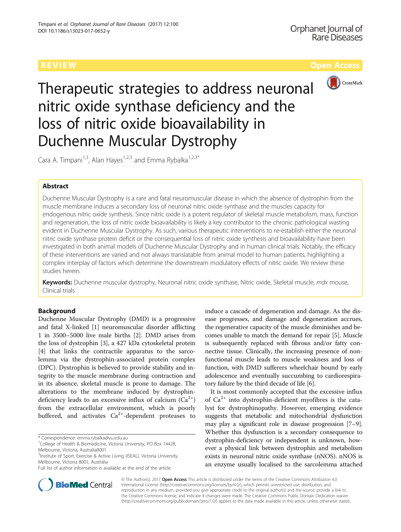

Therapeutic strategies to address neuronal nitric oxide synthase deficiency and the loss of nitric oxide bioavailability in Duchenne Muscular Dystrophy

Cara A. Timpani<sup>1,3</sup>, Alan Hayes<sup>1,2,3</sup> and Emma Rybalka<sup>1,2,3\*</sup>

# Abstract

Duchenne Muscular Dystrophy is a rare and fatal neuromuscular disease in which the absence of dystrophin from the muscle membrane induces a secondary loss of neuronal nitric oxide synthase and the muscles capacity for endogenous nitric oxide synthesis. Since nitric oxide is a potent regulator of skeletal muscle metabolism, mass, function and regeneration, the loss of nitric oxide bioavailability is likely a key contributor to the chronic pathological wasting evident in Duchenne Muscular Dystrophy. As such, various therapeutic interventions to re-establish either the neuronal nitric oxide synthase protein deficit or the consequential loss of nitric oxide synthesis and bioavailability have been investigated in both animal models of Duchenne Muscular Dystrophy and in human clinical trials. Notably, the efficacy of these interventions are varied and not always translatable from animal model to human patients, highlighting a complex interplay of factors which determine the downstream modulatory effects of nitric oxide. We review these studies herein.

Keywords: Duchenne muscular dystrophy, Neuronal nitric oxide synthase, Nitric oxide, Skeletal muscle, mdx mouse, Clinical trials

# Background

Duchenne Muscular Dystrophy (DMD) is a progressive and fatal X-linked [[1](#page-8-0)] neuromuscular disorder afflicting 1 in 3500–5000 live male births [\[2](#page-8-0)]. DMD arises from the loss of dystrophin [\[3](#page-8-0)], a 427 kDa cytoskeletal protein [[4\]](#page-8-0) that links the contractile apparatus to the sarcolemma via the dystrophin-associated protein complex (DPC). Dystrophin is believed to provide stability and integrity to the muscle membrane during contraction and in its absence, skeletal muscle is prone to damage. The alterations to the membrane induced by dystrophindeficiency leads to an excessive influx of calcium  $(Ca^{2+})$ from the extracellular environment, which is poorly buffered, and activates  $Ca^{2+}$ -dependent proteases to

\* Correspondence: [emma.rybalka@vu.edu.au](mailto:emma.rybalka@vu.edu.au) <sup>1</sup>

<sup>2</sup>Institute of Sport, Exercise & Active Living (ISEAL), Victoria University, Melbourne, Victoria 8001, Australia

induce a cascade of degeneration and damage. As the disease progresses, and damage and degeneration accrues, the regenerative capacity of the muscle diminishes and becomes unable to match the demand for repair [[5](#page-8-0)]. Muscle is subsequently replaced with fibrous and/or fatty connective tissue. Clinically, the increasing presence of nonfunctional muscle leads to muscle weakness and loss of function, with DMD sufferers wheelchair bound by early adolescence and eventually succumbing to cardiorespiratory failure by the third decade of life [\[6\]](#page-8-0).

It is most commonly accepted that the excessive influx of  $Ca^{2+}$  into dystrophin-deficient myofibres is the catalyst for dystrophinopathy. However, emerging evidence suggests that metabolic and mitochondrial dysfunction may play a significant role in disease progression [[7](#page-8-0)–[9](#page-8-0)]. Whether this dysfunction is a secondary consequence to dystrophin-deficiency or independent is unknown, however a physical link between dystrophin and metabolism exists in neuronal nitric oxide synthase (nNOS). nNOS is an enzyme usually localised to the sarcolemma attached



© The Author(s). 2017 **Open Access** This article is distributed under the terms of the Creative Commons Attribution 4.0 International License [\(http://creativecommons.org/licenses/by/4.0/](http://creativecommons.org/licenses/by/4.0/)), which permits unrestricted use, distribution, and reproduction in any medium, provided you give appropriate credit to the original author(s) and the source, provide a link to the Creative Commons license, and indicate if changes were made. The Creative Commons Public Domain Dedication waiver [\(http://creativecommons.org/publicdomain/zero/1.0/](http://creativecommons.org/publicdomain/zero/1.0/)) applies to the data made available in this article, unless otherwise stated.

<sup>&</sup>lt;sup>1</sup>College of Health & Biomedicine, Victoria University, PO Box 14428, Melbourne, Victoria, Australia8001

Full list of author information is available at the end of the article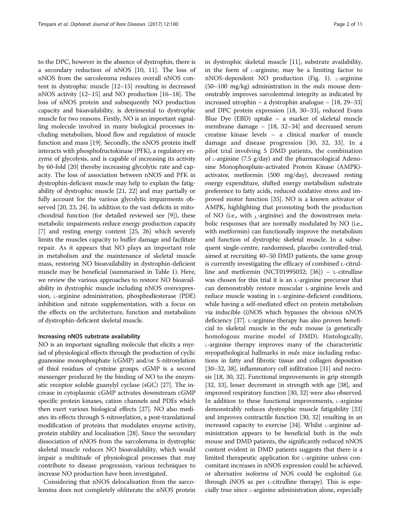to the DPC, however in the absence of dystrophin, there is a secondary reduction of nNOS [\[10, 11](#page-8-0)]. The loss of nNOS from the sarcolemma reduces overall nNOS content in dystrophic muscle [[12](#page-8-0)–[15\]](#page-8-0) resulting in decreased nNOS activity [[12](#page-8-0)–[15\]](#page-8-0) and NO production [[16](#page-8-0)–[18\]](#page-8-0). The loss of nNOS protein and subsequently NO production capacity and bioavailability, is detrimental to dystrophic muscle for two reasons. Firstly, NO is an important signalling molecule involved in many biological processes including metabolism, blood flow and regulation of muscle function and mass [\[19\]](#page-8-0). Secondly, the nNOS protein itself interacts with phosphofructokinase (PFK), a regulatory enzyme of glycolysis, and is capable of increasing its activity by 60-fold [[20\]](#page-8-0) thereby increasing glycolytic rate and capacity. The loss of association between nNOS and PFK in dystrophin-deficient muscle may help to explain the fatigability of dystrophic muscle [\[21, 22\]](#page-8-0) and may partially or fully account for the various glycolytic impairments observed [\[20, 23](#page-8-0), [24\]](#page-8-0). In addition to the vast deficits in mitochondrial function (for detailed reviewed see [\[9](#page-8-0)]), these metabolic impairments reduce energy production capacity [[7\]](#page-8-0) and resting energy content [\[25, 26\]](#page-8-0) which severely limits the muscles capacity to buffer damage and facilitate repair. As it appears that NO plays an important role in metabolism and the maintenance of skeletal muscle mass, restoring NO bioavailability in dystrophin-deficient muscle may be beneficial (summarised in Table [1](#page-2-0)). Here, we review the various approaches to restore NO bioavailability in dystrophic muscle including nNOS overexpression, *L*-arginine administration, phosphodiesterase (PDE) inhibition and nitrate supplementation, with a focus on the effects on the architecture, function and metabolism of dystrophin-deficient skeletal muscle.

# Increasing nNOS substrate availability

NO is an important signalling molecule that elicits a myriad of physiological effects through the production of cyclic guanosine monophosphate (cGMP) and/or S-nitrosylation of thiol residues of cysteine groups. cGMP is a second messenger produced by the binding of NO to the enzymatic receptor soluble guanylyl cyclase (sGC) [\[27](#page-8-0)]. The increase in cytoplasmic cGMP activates downstream cGMP specific protein kinases, cation channels and PDEs which then exert various biological effects [[27\]](#page-8-0). NO also mediates its effects through S-nitrosylation, a post-translational modification of proteins that modulates enzyme activity, protein stability and localisation [\[28\]](#page-8-0). Since the secondary dissociation of nNOS from the sarcolemma in dystrophic skeletal muscle reduces NO bioavailability, which would impair a multitude of physiological processes that may contribute to disease progression, various techniques to increase NO production have been investigated.

Considering that nNOS delocalisation from the sarcolemma does not completely obliterate the nNOS protein in dystrophic skeletal muscle [\[11](#page-8-0)], substrate availability, in the form of  $\iota$ -arginine, may be a limiting factor to nNOS-dependent NO production (Fig. [1\)](#page-3-0).  $\iota$ -arginine  $(50-100 \text{ mg/kg})$  administration in the *mdx* mouse demonstrably improves sarcolemmal integrity as indicated by increased utrophin – a dystrophin analogue – [[18](#page-8-0), [29](#page-8-0)–[33](#page-8-0)] and DPC protein expression [\[18, 30](#page-8-0)–[33](#page-8-0)], reduced Evans Blue Dye (EBD) uptake – a marker of skeletal muscle membrane damage – [\[18, 32](#page-8-0)–[34\]](#page-9-0) and decreased serum creatine kinase levels – a clinical marker of muscle damage and disease progression [[30](#page-8-0), [32, 33\]](#page-8-0). In a pilot trial involving 5 DMD patients, the combination of  $\iota$ -arginine (7.5 g/day) and the pharmacological Adenosine Monophosphate-activated Protein Kinase (AMPK) activator, metformin (500 mg/day), decreased resting energy expenditure, shifted energy metabolism substrate preference to fatty acids, reduced oxidative stress and improved motor function [\[35\]](#page-9-0). NO is a known activator of AMPK, highlighting that promoting both the production of NO (i.e., with  $L$ -arginine) and the downstream metabolic responses that are normally modulated by NO (i.e., with metformin) can functionally improve the metabolism and function of dystrophic skeletal muscle. In a subsequent single-centre, randomised, placebo controlled-trial, aimed at recruiting 40–50 DMD patients, the same group is currently investigating the efficacy of combined ʟ-citrul-line and metformin (NCT01995032; [[36](#page-9-0)]) –  $L$ -citrulline was chosen for this trial it is an L-arginine precursor that can demonstrably restore muscular L-arginine levels and reduce muscle wasting in L-arginine-deficient conditions, while having a self-mediated effect on protein metabolism via inducible (i)NOS which bypasses the obvious nNOS deficiency [[37](#page-9-0)]. ʟ-arginine therapy has also proven beneficial to skeletal muscle in the  $mdx$  mouse (a genetically homologous murine model of DMD). Histologically, ˪-arginine therapy improves many of the characteristic myopathological hallmarks in *mdx* mice including reductions in fatty and fibrotic tissue and collagen deposition [[30](#page-8-0)–[32,](#page-8-0) [38\]](#page-9-0), inflammatory cell infiltration [\[31](#page-8-0)] and necrosis [[18, 30](#page-8-0), [32](#page-8-0)]. Functional improvements in grip strength [[32](#page-8-0), [33](#page-8-0)], lesser decrement in strength with age [\[38\]](#page-9-0), and improved respiratory function [[30](#page-8-0), [32\]](#page-8-0) were also observed. In addition to these functional improvements,  $\iota$ -arginine demonstrably reduces dystrophic muscle fatigability [[33](#page-8-0)] and improves contractile function [\[30](#page-8-0), [32](#page-8-0)] resulting in an increased capacity to exercise [\[34\]](#page-9-0). Whilst  $\iota$ -arginine administration appears to be beneficial both in the *mdx* mouse and DMD patients, the significantly reduced nNOS content evident in DMD patients suggests that there is a limited therapeutic application for  $L$ -arginine unless concomitant increases in nNOS expression could be achieved, or alternative isoforms of NOS could be exploited (i.e. through iNOS as per ʟ-citrulline therapy). This is especially true since  $L$ -arginine administration alone, especially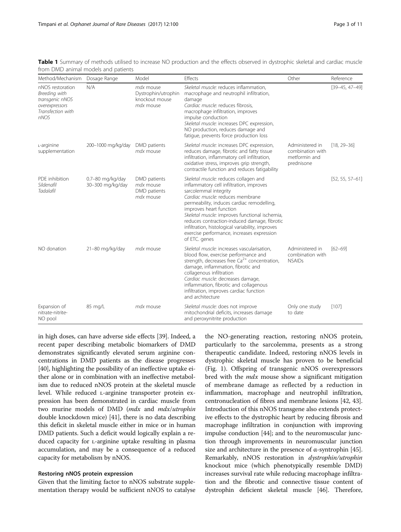<span id="page-2-0"></span>Table 1 Summary of methods utilised to increase NO production and the effects observed in dystrophic skeletal and cardiac muscle from DMD animal models and patients

| Method/Mechanism                                                                                    | Dosage Range                         | Model                                                           | Effects                                                                                                                                                                                                                                                                                                                                                                                                                                      | Other                                                              | Reference            |
|-----------------------------------------------------------------------------------------------------|--------------------------------------|-----------------------------------------------------------------|----------------------------------------------------------------------------------------------------------------------------------------------------------------------------------------------------------------------------------------------------------------------------------------------------------------------------------------------------------------------------------------------------------------------------------------------|--------------------------------------------------------------------|----------------------|
| nNOS restoration<br>Breeding with<br>transgenic nNOS<br>overexpressors<br>Transfection with<br>nNOS | N/A                                  | mdx mouse<br>Dystrophin/utrophin<br>knockout mouse<br>mdx mouse | Skeletal muscle: reduces inflammation,<br>macrophage and neutrophil infiltration,<br>damage<br>Cardiac muscle: reduces fibrosis,<br>macrophage infiltration, improves<br>impulse conduction<br>Skeletal muscle: increases DPC expression,<br>NO production, reduces damage and<br>fatique, prevents force production loss                                                                                                                    |                                                                    | $[39 - 45, 47 - 49]$ |
| L-arginine<br>supplementation                                                                       | 200-1000 mg/kg/day                   | DMD patients<br>mdx mouse                                       | Skeletal muscle: increases DPC expression,<br>reduces damage, fibrotic and fatty tissue<br>infiltration, inflammatory cell infiltration,<br>oxidative stress, improves grip strength,<br>contractile function and reduces fatigability                                                                                                                                                                                                       | Administered in<br>combination with<br>metformin and<br>prednisone | $[18, 29 - 36]$      |
| PDE inhibition<br>Sildenafil<br><b>Tadalafil</b>                                                    | 0.7-80 mg/kg/day<br>30-300 mg/kg/day | DMD patients<br>mdx mouse<br>DMD patients<br>mdx mouse          | Skeletal muscle: reduces collagen and<br>inflammatory cell infiltration, improves<br>sarcolemmal integrity<br>Cardiac muscle: reduces membrane<br>permeability, induces cardiac remodelling,<br>improves heart function<br>Skeletal muscle: improves functional ischemia,<br>reduces contraction-induced damage, fibrotic<br>infiltration, histological variability, improves<br>exercise performance, increases expression<br>of ETC. genes |                                                                    | $[52, 55, 57-61]$    |
| NO donation                                                                                         | 21-80 mg/kg/day                      | mdx mouse                                                       | Skeletal muscle: increases vascularisation,<br>blood flow, exercise performance and<br>strength, decreases free $Ca^{2+}$ concentration,<br>damage, inflammation, fibrotic and<br>collagenous infiltration<br>Cardiac muscle: decreases damage,<br>inflammation, fibrotic and collagenous<br>infiltration, improves cardiac function<br>and architecture                                                                                     | Administered in<br>combination with<br><b>NSAIDs</b>               | $[62 - 69]$          |
| Expansion of<br>nitrate-nitrite-<br>NO pool                                                         | 85 mg/L                              | mdx mouse                                                       | Skeletal muscle: does not improve<br>mitochondrial deficits, increases damage<br>and peroxynitrite production                                                                                                                                                                                                                                                                                                                                | Only one study<br>to date                                          | [107]                |

in high doses, can have adverse side effects [\[39\]](#page-9-0). Indeed, a recent paper describing metabolic biomarkers of DMD demonstrates significantly elevated serum arginine concentrations in DMD patients as the disease progresses [[40](#page-9-0)], highlighting the possibility of an ineffective uptake either alone or in combination with an ineffective metabolism due to reduced nNOS protein at the skeletal muscle level. While reduced L-arginine transporter protein expression has been demonstrated in cardiac muscle from two murine models of DMD (mdx and mdx/utrophin double knockdown mice) [\[41\]](#page-9-0), there is no data describing this deficit in skeletal muscle either in mice or in human DMD patients. Such a deficit would logically explain a reduced capacity for *L*-arginine uptake resulting in plasma accumulation, and may be a consequence of a reduced capacity for metabolism by nNOS.

# Restoring nNOS protein expression

Given that the limiting factor to nNOS substrate supplementation therapy would be sufficient nNOS to catalyse the NO-generating reaction, restoring nNOS protein, particularly to the sarcolemma, presents as a strong therapeutic candidate. Indeed, restoring nNOS levels in dystrophic skeletal muscle has proven to be beneficial (Fig. [1\)](#page-3-0). Offspring of transgenic nNOS overexpressors bred with the *mdx* mouse show a significant mitigation of membrane damage as reflected by a reduction in inflammation, macrophage and neutrophil infiltration, centronucleation of fibres and membrane lesions [[42](#page-9-0), [43](#page-9-0)]. Introduction of this nNOS transgene also extends protective effects to the dystrophic heart by reducing fibrosis and macrophage infiltration in conjunction with improving impulse conduction [\[44\]](#page-9-0); and to the neuromuscular junction through improvements in neuromuscular junction size and architecture in the presence of  $\alpha$ -syntrophin [[45](#page-9-0)]. Remarkably, nNOS restoration in dystrophin/utrophin knockout mice (which phenotypically resemble DMD) increases survival rate while reducing macrophage infiltration and the fibrotic and connective tissue content of dystrophin deficient skeletal muscle [\[46\]](#page-9-0). Therefore,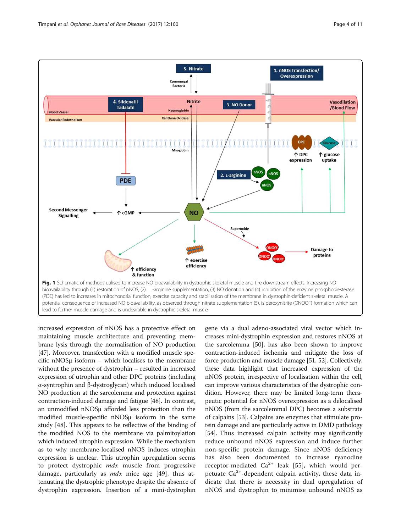<span id="page-3-0"></span>

increased expression of nNOS has a protective effect on maintaining muscle architecture and preventing membrane lysis through the normalisation of NO production [[47](#page-9-0)]. Moreover, transfection with a modified muscle specific nNOSμ isoform – which localises to the membrane without the presence of dystrophin – resulted in increased expression of utrophin and other DPC proteins (including α-syntrophin and β-dystroglycan) which induced localised NO production at the sarcolemma and protection against contraction-induced damage and fatigue [\[48\]](#page-9-0). In contrast, an unmodified nNOSμ afforded less protection than the modified muscle-specific nNOSμ isoform in the same study [[48](#page-9-0)]. This appears to be reflective of the binding of the modified NOS to the membrane via palmitoylation which induced utrophin expression. While the mechanism as to why membrane-localised nNOS induces utrophin expression is unclear. This utrophin upregulation seems to protect dystrophic *mdx* muscle from progressive damage, particularly as  $mdx$  mice age [\[49](#page-9-0)], thus attenuating the dystrophic phenotype despite the absence of dystrophin expression. Insertion of a mini-dystrophin gene via a dual adeno-associated viral vector which increases mini-dystrophin expression and restores nNOS at the sarcolemma [[50](#page-9-0)], has also been shown to improve contraction-induced ischemia and mitigate the loss of force production and muscle damage [[51](#page-9-0), [52](#page-9-0)]. Collectively, these data highlight that increased expression of the nNOS protein, irrespective of localisation within the cell, can improve various characteristics of the dystrophic condition. However, there may be limited long-term therapeutic potential for nNOS overexpression as a delocalised nNOS (from the sarcolemmal DPC) becomes a substrate of calpains [\[53\]](#page-9-0). Calpains are enzymes that stimulate protein damage and are particularly active in DMD pathology [[54](#page-9-0)]. Thus increased calpain activity may significantly reduce unbound nNOS expression and induce further non-specific protein damage. Since nNOS deficiency has also been documented to increase ryanodine receptor-mediated  $Ca^{2+}$  leak [\[55](#page-9-0)], which would perpetuate  $Ca^{2+}$ -dependent calpain activity, these data indicate that there is necessity in dual upregulation of nNOS and dystrophin to minimise unbound nNOS as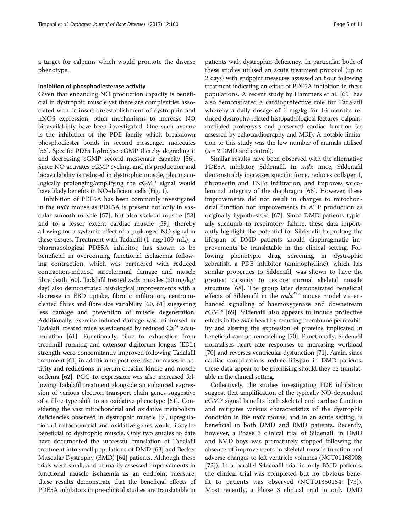a target for calpains which would promote the disease phenotype.

### Inhibition of phosphodiesterase activity

Given that enhancing NO production capacity is beneficial in dystrophic muscle yet there are complexities associated with re-insertion/establishment of dystrophin and nNOS expression, other mechanisms to increase NO bioavailability have been investigated. One such avenue is the inhibition of the PDE family which breakdown phosphodiester bonds in second messenger molecules [[56](#page-9-0)]. Specific PDEs hydrolyse cGMP thereby degrading it and decreasing cGMP second messenger capacity [[56](#page-9-0)]. Since NO activates cGMP cycling, and it's production and bioavailability is reduced in dystrophic muscle, pharmacologically prolonging/amplifying the cGMP signal would have likely benefits in NO-deficient cells (Fig. [1](#page-3-0)).

Inhibition of PDE5A has been commonly investigated in the *mdx* mouse as PDE5A is present not only in vascular smooth muscle [\[57](#page-9-0)], but also skeletal muscle [[58](#page-9-0)] and to a lesser extent cardiac muscle [[59](#page-9-0)], thereby allowing for a systemic effect of a prolonged NO signal in these tissues. Treatment with Tadalafil (1 mg/100 mL), a pharmacological PDE5A inhibitor, has shown to be beneficial in overcoming functional ischaemia following contraction, which was partnered with reduced contraction-induced sarcolemmal damage and muscle fibre death [[60](#page-9-0)]. Tadalafil treated  $mdx$  muscles (30 mg/kg/ day) also demonstrated histological improvements with a decrease in EBD uptake, fibrotic infiltration, centronucleated fibres and fibre size variability [\[60, 61](#page-9-0)] suggesting less damage and prevention of muscle degeneration. Additionally, exercise-induced damage was minimised in Tadalafil treated mice as evidenced by reduced  $Ca^{2+}$  accumulation [\[61](#page-9-0)]. Functionally, time to exhaustion from treadmill running and extensor digitorum longus (EDL) strength were concomitantly improved following Tadalafil treatment [[61](#page-9-0)] in addition to post-exercise increases in activity and reductions in serum creatine kinase and muscle oedema [[62\]](#page-9-0). PGC-1α expression was also increased following Tadalafil treatment alongside an enhanced expression of various electron transport chain genes suggestive of a fibre type shift to an oxidative phenotype [[61](#page-9-0)]. Considering the vast mitochondrial and oxidative metabolism deficiencies observed in dystrophic muscle [\[9](#page-8-0)], upregulation of mitochondrial and oxidative genes would likely be beneficial to dystrophic muscle. Only two studies to date have documented the successful translation of Tadalafil treatment into small populations of DMD [\[63\]](#page-9-0) and Becker Muscular Dystrophy (BMD) [\[64](#page-9-0)] patients. Although these trials were small, and primarily assessed improvements in functional muscle ischaemia as an endpoint measure, these results demonstrate that the beneficial effects of PDE5A inhibitors in pre-clinical studies are translatable in

patients with dystrophin-deficiency. In particular, both of these studies utilised an acute treatment protocol (up to 2 days) with endpoint measures assessed an hour following treatment indicating an effect of PDE5A inhibition in these populations. A recent study by Hammers et al. [\[65](#page-9-0)] has also demonstrated a cardioprotective role for Tadalafil whereby a daily dosage of 1 mg/kg for 16 months reduced dystrophy-related histopathological features, calpainmediated proteolysis and preserved cardiac function (as assessed by echocardiography and MRI). A notable limitation to this study was the low number of animals utilised  $(n = 2$  DMD and control).

Similar results have been observed with the alternative PDE5A inhibitor, Sildenafil. In mdx mice, Sildenafil demonstrably increases specific force, reduces collagen I, fibronectin and TNFα infiltration, and improves sarcolemmal integrity of the diaphragm [\[66](#page-9-0)]. However, these improvements did not result in changes to mitochondrial function nor improvements in ATP production as originally hypothesised [[67](#page-9-0)]. Since DMD patients typically succumb to respiratory failure, these data importantly highlight the potential for Sildenafil to prolong the lifespan of DMD patients should diaphragmatic improvements be translatable in the clinical setting. Following phenotypic drug screening in dystrophic zebrafish, a PDE inhibitor (aminophylline), which has similar properties to Sildenafil, was shown to have the greatest capacity to restore normal skeletal muscle structure [\[68\]](#page-9-0). The group later demonstrated beneficial effects of Sildenafil in the  $mdx^{5cv}$  mouse model via enhanced signalling of haemoxygenase and downstream cGMP [\[69](#page-9-0)]. Sildenafil also appears to induce protective effects in the *mdx* heart by reducing membrane permeability and altering the expression of proteins implicated in beneficial cardiac remodelling [\[70\]](#page-9-0). Functionally, Sildenafil normalises heart rate responses to increasing workload [[70](#page-9-0)] and reverses ventricular dysfunction [[71](#page-9-0)]. Again, since cardiac complications reduce lifespan in DMD patients, these data appear to be promising should they be translatable in the clinical setting.

Collectively, the studies investigating PDE inhibition suggest that amplification of the typically NO-dependent cGMP signal benefits both skeletal and cardiac function and mitigates various characteristics of the dystrophic condition in the *mdx* mouse, and in an acute setting, is beneficial in both DMD and BMD patients. Recently, however, a Phase 3 clinical trial of Sildenafil in DMD and BMD boys was prematurely stopped following the absence of improvements in skeletal muscle function and adverse changes to left ventricle volumes (NCT01168908; [[72](#page-9-0)]). In a parallel Sildenafil trial in only BMD patients, the clinical trial was completed but no obvious benefit to patients was observed (NCT01350154; [[73\]](#page-9-0)). Most recently, a Phase 3 clinical trial in only DMD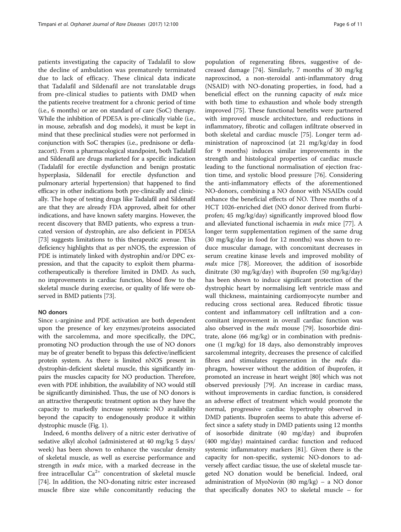patients investigating the capacity of Tadalafil to slow the decline of ambulation was prematurely terminated due to lack of efficacy. These clinical data indicate that Tadalafil and Sildenafil are not translatable drugs from pre-clinical studies to patients with DMD when the patients receive treatment for a chronic period of time (i.e., 6 months) or are on standard of care (SoC) therapy. While the inhibition of PDE5A is pre-clinically viable (i.e., in mouse, zebrafish and dog models), it must be kept in mind that these preclinical studies were not performed in conjunction with SoC therapies (i.e., prednisone or deflazacort). From a pharmacological standpoint, both Tadalafil and Sildenafil are drugs marketed for a specific indication (Tadalafil for erectile dysfunction and benign prostatic hyperplasia, Sildenafil for erectile dysfunction and pulmonary arterial hypertension) that happened to find efficacy in other indications both pre-clinically and clinically. The hope of testing drugs like Tadalafil and Sildenafil are that they are already FDA approved, albeit for other indications, and have known safety margins. However, the recent discovery that BMD patients, who express a truncated version of dystrophin, are also deficient in PDE5A [[73](#page-9-0)] suggests limitations to this therapeutic avenue. This deficiency highlights that as per nNOS, the expression of PDE is intimately linked with dystrophin and/or DPC expression, and that the capacity to exploit them pharmacotherapeutically is therefore limited in DMD. As such, no improvements in cardiac function, blood flow to the skeletal muscle during exercise, or quality of life were observed in BMD patients [\[73\]](#page-9-0).

# NO donors

Since L-arginine and PDE activation are both dependent upon the presence of key enzymes/proteins associated with the sarcolemma, and more specifically, the DPC, promoting NO production through the use of NO donors may be of greater benefit to bypass this defective/inefficient protein system. As there is limited nNOS present in dystrophin-deficient skeletal muscle, this significantly impairs the muscles capacity for NO production. Therefore, even with PDE inhibition, the availability of NO would still be significantly diminished. Thus, the use of NO donors is an attractive therapeutic treatment option as they have the capacity to markedly increase systemic NO availability beyond the capacity to endogenously produce it within dystrophic muscle (Fig. [1](#page-3-0)).

Indeed, 6 months delivery of a nitric ester derivative of sedative alkyl alcohol (administered at 40 mg/kg 5 days/ week) has been shown to enhance the vascular density of skeletal muscle, as well as exercise performance and strength in  $mdx$  mice, with a marked decrease in the free intracellular  $Ca^{2+}$  concentration of skeletal muscle [[74\]](#page-9-0). In addition, the NO-donating nitric ester increased muscle fibre size while concomitantly reducing the

population of regenerating fibres, suggestive of decreased damage [[74](#page-9-0)]. Similarly, 7 months of 30 mg/kg naproxcinod, a non-steroidal anti-inflammatory drug (NSAID) with NO-donating properties, in food, had a beneficial effect on the running capacity of mdx mice with both time to exhaustion and whole body strength improved [\[75](#page-9-0)]. These functional benefits were partnered with improved muscle architecture, and reductions in inflammatory, fibrotic and collagen infiltrate observed in both skeletal and cardiac muscle [[75\]](#page-9-0). Longer term administration of naproxcinod (at 21 mg/kg/day in food for 9 months) induces similar improvements in the strength and histological properties of cardiac muscle leading to the functional normalisation of ejection fraction time, and systolic blood pressure [\[76\]](#page-9-0). Considering the anti-inflammatory effects of the aforementioned NO-donors, combining a NO donor with NSAIDs could enhance the beneficial effects of NO. Three months of a HCT 1026-enriched diet (NO donor derived from flurbiprofen; 45 mg/kg/day) significantly improved blood flow and alleviated functional ischaemia in mdx mice [[77\]](#page-10-0). A longer term supplementation regimen of the same drug (30 mg/kg/day in food for 12 months) was shown to reduce muscular damage, with concomitant decreases in serum creatine kinase levels and improved mobility of  $mdx$  mice [\[78](#page-10-0)]. Moreover, the addition of isosorbide dinitrate (30 mg/kg/day) with ibuprofen (50 mg/kg/day) has been shown to induce significant protection of the dystrophic heart by normalising left ventricle mass and wall thickness, maintaining cardiomyocyte number and reducing cross sectional area. Reduced fibrotic tissue content and inflammatory cell infiltration and a concomitant improvement in overall cardiac function was also observed in the *mdx* mouse [\[79\]](#page-10-0). Isosorbide dinitrate, alone (66 mg/kg) or in combination with prednisone (1 mg/kg) for 18 days, also demonstrably improves sarcolemmal integrity, decreases the presence of calcified fibres and stimulates regeneration in the *mdx* diaphragm, however without the addition of ibuprofen, it promoted an increase in heart weight [[80](#page-10-0)] which was not observed previously [[79](#page-10-0)]. An increase in cardiac mass, without improvements in cardiac function, is considered an adverse effect of treatment which would promote the normal, progressive cardiac hypertrophy observed in DMD patients. Ibuprofen seems to abate this adverse effect since a safety study in DMD patients using 12 months of isosorbide dinitrate (40 mg/day) and ibuprofen (400 mg/day) maintained cardiac function and reduced systemic inflammatory markers [\[81\]](#page-10-0). Given there is the capacity for non-specific, systemic NO-donors to adversely affect cardiac tissue, the use of skeletal muscle targeted NO donation would be beneficial. Indeed, oral administration of MyoNovin (80 mg/kg) – a NO donor that specifically donates NO to skeletal muscle – for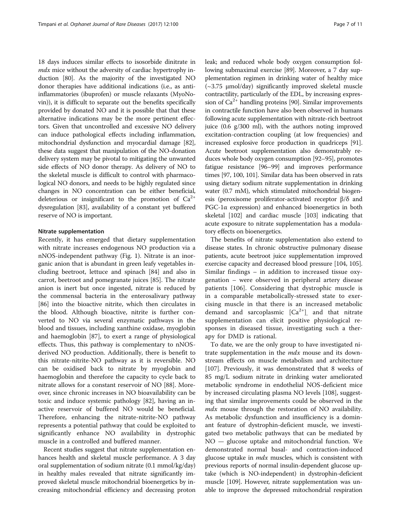18 days induces similar effects to isosorbide dinitrate in *mdx* mice without the adversity of cardiac hypertrophy induction [\[80\]](#page-10-0). As the majority of the investigated NO donor therapies have additional indications (i.e., as antiinflammatories (ibuprofen) or muscle relaxants (MyoNovin)), it is difficult to separate out the benefits specifically provided by donated NO and it is possible that that these alternative indications may be the more pertinent effectors. Given that uncontrolled and excessive NO delivery can induce pathological effects including inflammation, mitochondrial dysfunction and myocardial damage [[82](#page-10-0)], these data suggest that manipulation of the NO-donation delivery system may be pivotal to mitigating the unwanted side effects of NO donor therapy. As delivery of NO to the skeletal muscle is difficult to control with pharmacological NO donors, and needs to be highly regulated since changes in NO concentration can be either beneficial, deleterious or insignificant to the promotion of  $Ca^{2+}$ dysregulation [[83](#page-10-0)], availability of a constant yet buffered reserve of NO is important.

# Nitrate supplementation

Recently, it has emerged that dietary supplementation with nitrate increases endogenous NO production via a nNOS-independent pathway (Fig. [1\)](#page-3-0). Nitrate is an inorganic anion that is abundant in green leafy vegetables including beetroot, lettuce and spinach [\[84\]](#page-10-0) and also in carrot, beetroot and pomegranate juices [[85](#page-10-0)]. The nitrate anion is inert but once ingested, nitrate is reduced by the commensal bacteria in the enterosalivary pathway [[86\]](#page-10-0) into the bioactive nitrite, which then circulates in the blood. Although bioactive, nitrite is further converted to NO via several enzymatic pathways in the blood and tissues, including xanthine oxidase, myoglobin and haemoglobin [[87](#page-10-0)], to exert a range of physiological effects. Thus, this pathway is complementary to nNOSderived NO production. Additionally, there is benefit to this nitrate-nitrite-NO pathway as it is reversible. NO can be oxidised back to nitrate by myoglobin and haemoglobin and therefore the capacity to cycle back to nitrate allows for a constant reservoir of NO [[88](#page-10-0)]. Moreover, since chronic increases in NO bioavailability can be toxic and induce systemic pathology [[82\]](#page-10-0), having an inactive reservoir of buffered NO would be beneficial. Therefore, enhancing the nitrate-nitrite-NO pathway represents a potential pathway that could be exploited to significantly enhance NO availability in dystrophic muscle in a controlled and buffered manner.

Recent studies suggest that nitrate supplementation enhances health and skeletal muscle performance. A 3 day oral supplementation of sodium nitrate (0.1 mmol/kg/day) in healthy males revealed that nitrate significantly improved skeletal muscle mitochondrial bioenergetics by increasing mitochondrial efficiency and decreasing proton leak; and reduced whole body oxygen consumption following submaximal exercise [\[89\]](#page-10-0). Moreover, a 7 day supplementation regimen in drinking water of healthy mice  $(-3.75 \text{ \mu} \text{mol/day})$  significantly improved skeletal muscle contractility, particularly of the EDL, by increasing expression of  $Ca^{2+}$  handling proteins [\[90\]](#page-10-0). Similar improvements in contractile function have also been observed in humans following acute supplementation with nitrate-rich beetroot juice (0.6 g/300 ml), with the authors noting improved excitation-contraction coupling (at low frequencies) and increased explosive force production in quadriceps [[91](#page-10-0)]. Acute beetroot supplementation also demonstrably reduces whole body oxygen consumption [[92](#page-10-0)–[95\]](#page-10-0), promotes fatigue resistance [\[96](#page-10-0)–[99](#page-10-0)] and improves performance times [\[97, 100, 101\]](#page-10-0). Similar data has been observed in rats using dietary sodium nitrate supplementation in drinking water (0.7 mM), which stimulated mitochondrial biogenesis (peroxisome proliferator-activated receptor β/δ and PGC-1α expression) and enhanced bioenergetics in both skeletal [\[102\]](#page-10-0) and cardiac muscle [\[103\]](#page-10-0) indicating that acute exposure to nitrate supplementation has a modulatory effects on bioenergetics.

The benefits of nitrate supplementation also extend to disease states. In chronic obstructive pulmonary disease patients, acute beetroot juice supplementation improved exercise capacity and decreased blood pressure [\[104](#page-10-0), [105](#page-10-0)]. Similar findings – in addition to increased tissue oxygenation – were observed in peripheral artery disease patients [[106](#page-10-0)]. Considering that dystrophic muscle is in a comparable metabolically-stressed state to exercising muscle in that there is an increased metabolic demand and sarcoplasmic  $[Ca^{2+}]$  and that nitrate supplementation can elicit positive physiological responses in diseased tissue, investigating such a therapy for DMD is rational.

To date, we are the only group to have investigated nitrate supplementation in the  $mdx$  mouse and its downstream effects on muscle metabolism and architecture [[107\]](#page-10-0). Previously, it was demonstrated that 8 weeks of 85 mg/L sodium nitrate in drinking water ameliorated metabolic syndrome in endothelial NOS-deficient mice by increased circulating plasma NO levels [\[108](#page-10-0)], suggesting that similar improvements could be observed in the mdx mouse through the restoration of NO availability. As metabolic dysfunction and insufficiency is a dominant feature of dystrophin-deficient muscle, we investigated two metabolic pathways that can be mediated by NO — glucose uptake and mitochondrial function. We demonstrated normal basal- and contraction-induced glucose uptake in *mdx* muscles, which is consistent with previous reports of normal insulin-dependent glucose uptake (which is NO-independent) in dystrophin-deficient muscle [[109](#page-10-0)]. However, nitrate supplementation was unable to improve the depressed mitochondrial respiration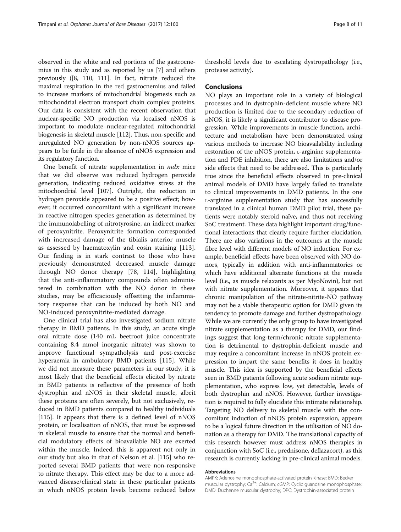observed in the white and red portions of the gastrocnemius in this study and as reported by us [[7\]](#page-8-0) and others previously ([[8](#page-8-0), [110, 111](#page-10-0)]. In fact, nitrate reduced the maximal respiration in the red gastrocnemius and failed to increase markers of mitochondrial biogenesis such as mitochondrial electron transport chain complex proteins. Our data is consistent with the recent observation that nuclear-specific NO production via localised nNOS is important to modulate nuclear-regulated mitochondrial biogenesis in skeletal muscle [[112](#page-10-0)]. Thus, non-specific and unregulated NO generation by non-nNOS sources appears to be futile in the absence of nNOS expression and its regulatory function.

One benefit of nitrate supplementation in  $mdx$  mice that we did observe was reduced hydrogen peroxide generation, indicating reduced oxidative stress at the mitochondrial level [\[107\]](#page-10-0). Outright, the reduction in hydrogen peroxide appeared to be a positive effect; however, it occurred concomitant with a significant increase in reactive nitrogen species generation as determined by the immunolabelling of nitrotyrosine, an indirect marker of peroxynitrite. Peroxynitrite formation corresponded with increased damage of the tibialis anterior muscle as assessed by haematoxylin and eosin staining [\[113](#page-10-0)]. Our finding is in stark contrast to those who have previously demonstrated decreased muscle damage through NO donor therapy [[78, 114](#page-10-0)], highlighting that the anti-inflammatory compounds often administered in combination with the NO donor in these studies, may be efficaciously offsetting the inflammatory response that can be induced by both NO and NO-induced peroxynitrite-mediated damage.

One clinical trial has also investigated sodium nitrate therapy in BMD patients. In this study, an acute single oral nitrate dose (140 mL beetroot juice concentrate containing 8.4 mmol inorganic nitrate) was shown to improve functional sympatholysis and post-exercise hyperaemia in ambulatory BMD patients [[115](#page-10-0)]. While we did not measure these parameters in our study, it is most likely that the beneficial effects elicited by nitrate in BMD patients is reflective of the presence of both dystrophin and nNOS in their skeletal muscle, albeit these proteins are often severely, but not exclusively, reduced in BMD patients compared to healthy individuals [[115\]](#page-10-0). It appears that there is a defined level of nNOS protein, or localisation of nNOS, that must be expressed in skeletal muscle to ensure that the normal and beneficial modulatory effects of bioavailable NO are exerted within the muscle. Indeed, this is apparent not only in our study but also in that of Nelson et al. [[115\]](#page-10-0) who reported several BMD patients that were non-responsive to nitrate therapy. This effect may be due to a more advanced disease/clinical state in these particular patients in which nNOS protein levels become reduced below

threshold levels due to escalating dystropathology (i.e., protease activity).

# Conclusions

NO plays an important role in a variety of biological processes and in dystrophin-deficient muscle where NO production is limited due to the secondary reduction of nNOS, it is likely a significant contributor to disease progression. While improvements in muscle function, architecture and metabolism have been demonstrated using various methods to increase NO bioavailability including restoration of the nNOS protein, L-arginine supplementation and PDE inhibition, there are also limitations and/or side effects that need to be addressed. This is particularly true since the beneficial effects observed in pre-clinical animal models of DMD have largely failed to translate to clinical improvements in DMD patients. In the one ʟ-arginine supplementation study that has successfully translated in a clinical human DMD pilot trial, these patients were notably steroid naïve, and thus not receiving SoC treatment. These data highlight important drug/functional interactions that clearly require further elucidation. There are also variations in the outcomes at the muscle fibre level with different models of NO induction. For example, beneficial effects have been observed with NO donors, typically in addition with anti-inflammatories or which have additional alternate functions at the muscle level (i.e., as muscle relaxants as per MyoNovin), but not with nitrate supplementation. Moreover, it appears that chronic manipulation of the nitrate-nitrite-NO pathway may not be a viable therapeutic option for DMD given its tendency to promote damage and further dystropathology. While we are currently the only group to have investigated nitrate supplementation as a therapy for DMD, our findings suggest that long-term/chronic nitrate supplementation is detrimental to dystrophin-deficient muscle and may require a concomitant increase in nNOS protein expression to impart the same benefits it does in healthy muscle. This idea is supported by the beneficial effects seen in BMD patients following acute sodium nitrate supplementation, who express low, yet detectable, levels of both dystrophin and nNOS. However, further investigation is required to fully elucidate this intimate relationship. Targeting NO delivery to skeletal muscle with the concomitant induction of nNOS protein expression, appears to be a logical future direction in the utilisation of NO donation as a therapy for DMD. The translational capacity of this research however must address nNOS therapies in conjunction with SoC (i.e., prednisone, deflazacort), as this research is currently lacking in pre-clinical animal models.

# Abbreviations

AMPK: Adenosine monophosphate-activated protein kinase; BMD: Becker muscular dystrophy; Ca<sup>2+</sup>: Calcium; cGMP: Cyclic guanosine monophosphate; DMD: Duchenne muscular dystrophy; DPC: Dystrophin-associated protein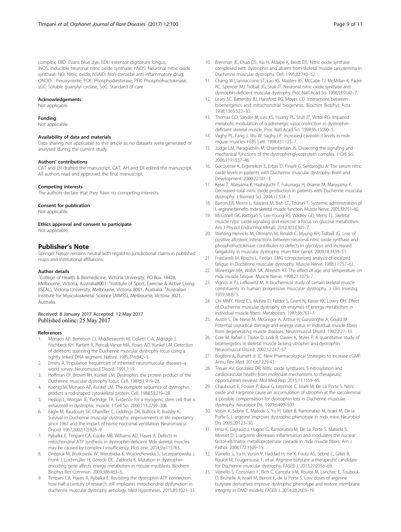<span id="page-8-0"></span>complex; EBD: Evans blue dye; EDL: extensor digitorum longus; iNOS: Inducible neuronal nitric oxide synthase; nNOS: Neuronal nitric oxide synthase; NO: Nitric oxide; NSAID: Non-steroidal anti-inflammatory drug; ONOO<sup>−</sup> : Peroxynitrite; PDE: Phosphodiesterase; PFK: Phosphofructokinase; sGC: Soluble guanylyl cyclase; SoC: Standard of care

### Acknowledgements

Not applicable.

### Funding

Not applicable.

# Availability of data and materials

Data sharing not applicable to this article as no datasets were generated or analysed during the current study.

# Authors' contributions

CAT and ER drafted the manuscript. CAT, AH and ER edited the manuscript. All authors read and approved the final manuscript.

#### Competing interests

The authors declare that they have no competing interests.

#### Consent for publication

Not applicable.

Ethics approval and consent to participate

Not applicable.

# Publisher's Note

Springer Nature remains neutral with regard to jurisdictional claims in published maps and institutional affiliations.

## Author details

<sup>1</sup>College of Health & Biomedicine, Victoria University, PO Box 14428, Melbourne, Victoria, Australia8001. <sup>2</sup>Institute of Sport, Exercise & Active Living (ISEAL), Victoria University, Melbourne, Victoria 8001, Australia. <sup>3</sup>Australian Institute for Musculoskeletal Science (AIMSS), Melbourne, Victoria 3021, Australia.

## Received: 8 January 2017 Accepted: 12 May 2017 Published online: 25 May 2017

#### References

- 1. Monaco AP, Bertelson CJ, Middlesworth W, Colletti C-A, Aldridge J, Fischbeck KH, Bartlett R, Pericak-Vance MA, Roses AD, Kunkel LM. Detection of deletions spanning the Duchenne muscular dystrophy locus using a tightly linked DNA segment. Nature. 1985;316:842–5.
- 2. Emery A. Population frequencies of inherited neuromuscular diseases–a world survey. Neuromuscul Disord. 1991;1:19.
- 3. Hoffman EP, Brown RH, Kunkel LM. Dystrophin: the protein product of the Duchenne muscular dystrophy locus. Cell. 1987;51:919–28.
- 4. Koenig M, Monaco AP, Kunkel LM. The complete sequence of dystrophin predicts a rod-shaped cytoskeletal protein. Cell. 1988;53:219–28.
- 5. Heslop L, Morgan JE, Partridge TA. Evidence for a myogenic stem cell that is exhausted in dystrophic muscle. J Cell Sci. 2000;113:2299–308.
- 6. Eagle M, Baudouin SV, Chandler C, Giddings DR, Bullock R, Bushby K. Survival in Duchenne muscular dystrophy: improvements in life expectancy since 1967 and the impact of home nocturnal ventilation. Neuromuscul Disord. 1967;2002(12):926–9.
- 7. Rybalka E, Timpani CA, Cooke MB, Williams AD, Hayes A. Defects in mitochondrial ATP synthesis in dystrophin-deficient Mdx skeletal muscles may be caused by complex I insufficiency. PloS one. 2014;9:e115763.
- 8. Onopiuk M, Brutkowski W, Wierzbicka K, Wojciechowska S, Szczepanowska J, Fronk J, Lochmüller H, Górecki DC, Zabłocki K. Mutation in dystrophinencoding gene affects energy metabolism in mouse myoblasts. Biochem Biophys Res Commun. 2009;386:463–6.
- 9. Timpani CA, Hayes A, Rybalka E. Revisiting the dystrophin-ATP connection: how half a century of research still implicates mitochondrial dysfunction in duchenne muscular dystrophy aetiology. Med Hypotheses. 2015;85:1021–33.
- 10. Brenman JE, Chao DS, Xia H, Aldape K, Bredt DS. Nitric oxide synthase complexed with dystrophin and absent from skeletal muscle sarcolemma in Duchenne muscular dystrophy. Cell. 1995;82:743–52.
- 11. Chang WJ, Iannaccone ST, Lau KS, Masters BS, McCabe TJ, McMillan K, Padre RC, Spencer MJ, Tidball JG, Stull JT. Neuronal nitric oxide synthase and dystrophin-deficient muscular dystrophy. Proc Natl Acad Sci. 1996;93:9142–7.
- 12. Leary SC, Battersby BJ, Hansford RG, Moyes CD. Interactions between bioenergetics and mitochondrial biogenesis. Biochim Biophys Acta. 1998;1365:522–30.
- 13. Thomas GD, Sander M, Lau KS, Huang PL, Stull JT, Victor RG. Impaired metabolic modulation of α-adrenergic vasoconstriction in dystrophindeficient skeletal muscle. Proc Natl Acad Sci. 1998;95:15090–5.
- 14. Vaghy PL, Fang J, Wu W, Vaghy LP. Increased caveolin-3 levels in mdx mouse muscles. FEBS Lett. 1998;431:125–7.
- 15. Judge LM, Haraguchiln M, Chamberlain JS. Dissecting the signaling and mechanical functions of the dystrophin-glycoprotein complex. J Cell Sci. 2006;119:1537–46.
- 16. Gücüyener K, Ergenekon E, Erbas D, Pinarli G, Serdaroğlu A. The serum nitric oxide levels in patients with Duchenne muscular dystrophy. Brain and Development. 2000;22:181–3.
- 17. Kasai T, Abeyama K, Hashiguchi T, Fukunaga H, Osame M, Maruyama K. Decreased total nitric oxide production in patients with Duchenne muscular dystrophy. J Biomed Sci. 2004;11:534–7.
- 18. Barton ER, Morris L, Kawana M, Bish LT, Toursel T. Systemic administration of L-arginine benefits mdx skeletal muscle function. Muscle Nerve. 2005;32:751–60.
- 19. McConell GK, Rattigan S, Lee-Young RS, Wadley GD, Merry TL. Skeletal muscle nitric oxide signaling and exercise: a focus on glucose metabolism. Am J Physiol Endocrinol Metab. 2012;303:E301–7.
- 20. Wehling-Henricks M, Oltmann M, Rinaldi C, Myung KH, Tidball JG. Loss of positive allosteric interactions between neuronal nitric oxide synthase and phosphofructokinase contributes to defects in glycolysis and increased fatigability in muscular dystrophy. Hum Mol Genet. 2009;18:3439–51.
- 21. Frascarelli M, Rocchi L, Feola I. EMG computerized analysis of localized fatigue in Duchenne muscular dystrophy. Muscle Nerve. 1988;11:757–61.
- 22. Wineinger MA, Walsh SA, Abresch RT. The effect of age and temperature on mdx muscle fatigue. Muscle Nerve. 1998;21:1075–7.
- 23. Vignos Jr PJ, Lefkowitz M. A biochemical study of certain skeletal muscle constituents in human progressive muscular dystrophy. J Clin Investig. 1959;38:873.
- 24. Chi MMY, Hintz CS, McKee D, Felder S, Grant N, Kaiser KK, Lowry OH. Effect of Duchenne muscular dystrophy on enzymes of energy metabolism in individual muscle fibers. Metabolism. 1987;36:761–7.
- 25. Austin L, De Niese M, McGregor A, Arthur H, Gurusinghe A, Gould M. Potential oxyradical damage and energy status in individual muscle fibres from degenerating muscle diseases. Neuromuscul Disord. 1992;2:27–33.
- 26. Cole M, Rafael J, Taylor D, Lodi R, Davies K, Styles P. A quantitative study of bioenergetics in skeletal muscle lacking utrophin and dystrophin. Neuromuscul Disord. 2002;12:247–57.
- 27. Buglioni A, Burnett Jr JC. New Pharmacological Strategies to Increase cGMP. Annu Rev Med. 2016;67:229-43.
- 28. Treuer AV, Gonzalez DR. Nitric oxide synthases, S-nitrosylation and cardiovascular health: from molecular mechanisms to therapeutic opportunities (review). Mol Med Rep. 2015;11:1555–65.
- 29. Chaubourt E, Fossier P, Baux G, Leprince C, Israël M, De La Porte S. Nitric oxide and l-arginine cause an accumulation of utrophin at the sarcolemma: a possible compensation for dystrophin loss in Duchenne muscular dystrophy. Neurobiol Dis. 1999;6:499–507.
- 30. Voisin V, Sebrie C, Matecki S, Yu H, Gillet B, Ramonatxo M, Israel M, De la Porte S. L-arginine improves dystrophic phenotype in mdx mice. Neurobiol Dis. 2005;20:123–30.
- 31. Hnia K, Gayraud J, Hugon G, Ramonatxo M, De La Porte S, Matecki S, Mornet D. L-arginine decreases inflammation and modulates the nuclear factor-κB/matrix metalloproteinase cascade in mdx muscle fibers. Am J Pathol. 2008;172:1509–19.
- 32. Vianello S, Yu H, Voisin V, Haddad H, He X, Foutz AS, Sebrié C, Gillet B, Roulot M, Fougerousse F, et al. Arginine butyrate: a therapeutic candidate for Duchenne muscular dystrophy. FASEB J. 2013;27:2256–69.
- 33. Vianello S, Consolaro F, Bich C, Cancela J-M, Roulot M, Lanchec E, Touboul D, Brunelle A, Israël M, Benoit E, de la Porte S. Low doses of arginine butyrate derivatives improve dystrophic phenotype and restore membrane integrity in DMD models. FASEB J. 2014;28:2603–19.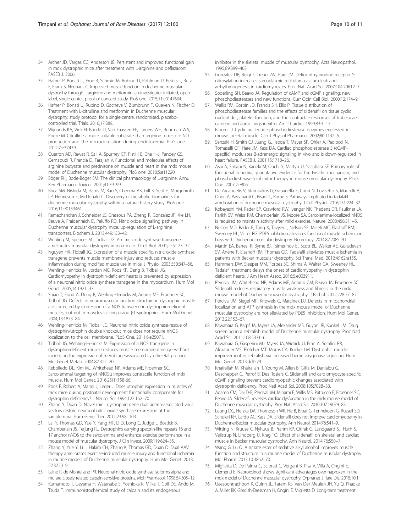- <span id="page-9-0"></span>34. Archer JD, Vargas CC, Anderson JE: Persistent and improved functional gain in mdx dystrophic mice after treatment with L-arginine and deflazacort. FASEB J. 2006.
- 35. Hafner P, Bonati U, Erne B, Schmid M, Rubino D, Pohlman U, Peters T, Rutz E, Frank S, Neuhaus C. Improved muscle function in duchenne muscular dystrophy through L-arginine and metformin: an investigator-initiated, openlabel, single-center, proof-of-concept-study. PloS one. 2015;11:e0147634.
- 36. Hafner P, Bonati U, Rubino D, Gocheva V, Zumbrunn T, Gueven N, Fischer D. Treatment with L-citrulline and metformin in Duchenne muscular dystrophy: study protocol for a single-centre, randomised, placebocontrolled trial. Trials. 2016;17:389.
- 37. Wijnands KA, Vink H, Briedé JJ, Van Faassen EE, Lamers WH, Buurman WA, Poeze M. Citrulline a more suitable substrate than arginine to restore NO production and the microcirculation during endotoxemia. PloS one. 2012;7:e37439.
- 38. Guerron AD, Rawat R, Sali A, Spurney CF, Pistilli E, Cha H-J, Pandey GS, Gernapudi R, Francia D, Farajian V. Functional and molecular effects of arginine butyrate and prednisone on muscle and heart in the mdx mouse model of Duchenne muscular dystrophy. PloS one. 2010;5:e11220.
- 39. Böger RH, Bode-Böger SM. The clinical pharmacology of L-arginine. Annu Rev Pharmacol Toxicol. 2001;41:79–99.
- 40. Boca SM, Nishida M, Harris M, Rao S, Cheema AK, Gill K, Seol H, Morgenroth LP, Henricson E, McDonald C. Discovery of metabolic biomarkers for duchenne muscular dystrophy within a natural history study. PloS one. 2016;11:e0153461.
- 41. Ramachandran J, Schneider JS, Crassous PA, Zheng R, Gonzalez JP, Xie LH, Beuve A, Fraidenraich D, Peluffo RD. Nitric oxide signalling pathway in Duchenne muscular dystrophy mice: up-regulation of L-arginine transporters. Biochem J. 2013;449:133–42.
- 42. Wehling M, Spencer MJ, Tidball JG. A nitric oxide synthase transgene ameliorates muscular dystrophy in mdx mice. J Cell Biol. 2001;155:123–32.
- 43. Nguyen HX, Tidball JG. Expression of a muscle-specific, nitric oxide synthase transgene prevents muscle membrane injury and reduces muscle inflammation during modified muscle use in mice. J Physiol. 2003;550:347–56.
- 44. Wehling-Henricks M, Jordan MC, Roos KP, Deng B, Tidball JG. Cardiomyopathy in dystrophin-deficient hearts is prevented by expression of a neuronal nitric oxide synthase transgene in the myocardium. Hum Mol Genet. 2005;14:1921–33.
- 45. Shiao T, Fond A, Deng B, Wehling-Henricks M, Adams ME, Froehner SC, Tidball JG. Defects in neuromuscular junction structure in dystrophic muscle are corrected by expression of a NOS transgene in dystrophin-deficient muscles, but not in muscles lacking α-and β1-syntrophins. Hum Mol Genet. 2004;13:1873–84.
- 46. Wehling-Henricks M, Tidball JG. Neuronal nitric oxide synthase-rescue of dystrophin/utrophin double knockout mice does not require nNOS localization to the cell membrane. PLoS One. 2011;6:e25071.
- 47. Tidball JG, Wehling-Henricks M. Expression of a NOS transgene in dystrophin-deficient muscle reduces muscle membrane damage without increasing the expression of membrane-associated cytoskeletal proteins. Mol Genet Metab. 2004;82:312–20.
- 48. Rebolledo DL, Kim MJ, Whitehead NP, Adams ME, Froehner SC. Sarcolemmal targeting of nNOSμ improves contractile function of mdx muscle. Hum Mol Genet. 2016;25(1):158-66.
- 49. Pons F, Robert A, Marini J, Leger J. Does utrophin expression in muscles of mdx mice during postnatal development functionally compensate for dystrophin deficiency? J Neurol Sci. 1994;122:162–70.
- 50. Zhang Y, Duan D. Novel mini–dystrophin gene dual adeno-associated virus vectors restore neuronal nitric oxide synthase expression at the sarcolemma. Hum Gene Ther. 2011;23:98–103.
- 51. Lai Y, Thomas GD, Yue Y, Yang HT, Li D, Long C, Judge L, Bostick B, Chamberlain JS, Terjung RL. Dystrophins carrying spectrin-like repeats 16 and 17 anchor nNOS to the sarcolemma and enhance exercise performance in a mouse model of muscular dystrophy. J Clin Invest. 2009;119:624–35.
- 52. Zhang Y, Yue Y, Li L, Hakim CH, Zhang K, Thomas GD, Duan D. Dual AAV therapy ameliorates exercise-induced muscle injury and functional ischemia in murine models of Duchenne muscular dystrophy. Hum Mol Genet. 2013; 22:3720–9.
- 53. Laine R, de Montellano PR. Neuronal nitric oxide synthase isoforms alpha and mu are closely related calpain-sensitive proteins. Mol Pharmacol. 1998;54:305–12.
- 54. Kumamoto T, Ueyama H, Watanabe S, Yoshioka K, Miike T, Goll DE, Ando M, Tsuda T. Immunohistochemical study of calpain and its endogenous

inhibitor in the skeletal muscle of muscular dystrophy. Acta Neuropathol. 1995;89:399–403.

- 55. Gonzalez DR, Beigi F, Treuer AV, Hare JM. Deficient ryanodine receptor Snitrosylation increases sarcoplasmic reticulum calcium leak and arrhythmogenesis in cardiomyocytes. Proc Natl Acad Sci. 2007;104:20612–7.
- 56. Soderling SH, Beavo JA. Regulation of cAMP and cGMP signaling: new phosphodiesterases and new functions. Curr Opin Cell Biol. 2000;12:174–9.
- 57. Wallis RM, Corbin JD, Francis SH, Ellis P. Tissue distribution of phosphodiesterase families and the effects of sildenafil on tissue cyclic nucleotides, platelet function, and the contractile responses of trabeculae carneae and aortic rings in vitro. Am J Cardiol. 1999;83:3–12.
- 58. Bloom TJ. Cyclic nucleotide phosphodiesterase isozymes expressed in mouse skeletal muscle. Can J Physiol Pharmacol. 2002;80:1132–5.
- 59. Senzaki H, Smith CJ, Juang GJ, Isoda T, Mayer SP, Ohler A, Paolocci N, Tomaselli GF, Hare JM, Kass DA. Cardiac phosphodiesterase 5 (cGMPspecific) modulates β-adrenergic signaling in vivo and is down-regulated in heart failure. FASEB J. 2001;15:1718–26.
- 60. Asai A, Sahani N, Kaneki M, Ouchi Y, Martyn JJ, Yasuhara SE. Primary role of functional ischemia, quantitative evidence for the two-hit mechanism, and phosphodiesterase-5 inhibitor therapy in mouse muscular dystrophy. PLoS One. 2007;2:e806.
- 61. De Arcangelis V, Strimpakos G, Gabanella F, Corbi N, Luvisetto S, Magrelli A, Onori A, Passananti C, Pisani C, Rome S. Pathways implicated in tadalafil amelioration of duchenne muscular dystrophy. J Cell Physiol. 2016;231:224–32.
- 62. Kobayashi YM, Rader EP, Crawford RW, Iyengar NK, Thedens DR, Faulkner JA, Parikh SV, Weiss RM, Chamberlain JS, Moore SA. Sarcolemma-localized nNOS is required to maintain activity after mild exercise. Nature. 2008;456:511–5.
- 63. Nelson MD, Rader F, Tang X, Tavyev J, Nelson SF, Miceli MC, Elashoff RM, Sweeney HL, Victor RG. PDE5 inhibition alleviates functional muscle ischemia in boys with Duchenne muscular dystrophy. Neurology. 2014;82:2085–91.
- 64. Martin EA, Barresi R, Byrne BJ, Tsimerinov EI, Scott BL, Walker AE, Gurudevan SV, Anene F, Elashoff RM, Thomas GD. Tadalafil alleviates muscle ischemia in patients with Becker muscular dystrophy. Sci Transl Med. 2012;4:162ra155.
- 65. Hammers DW, Sleeper MM, Forbes SC, Shima A, Walter GA, Sweeney HL. Tadalafil treatment delays the onset of cardiomyopathy in dystrophin‐ deficient hearts. J Am Heart Assoc. 2016;5:e003911.
- 66. Percival JM, Whitehead NP, Adams ME, Adamo CM, Beavo JA, Froehner SC. Sildenafil reduces respiratory muscle weakness and fibrosis in the mdx mouse model of Duchenne muscular dystrophy. J Pathol. 2012;228:77–87.
- 67. Percival JM, Siegel MP, Knowels G, Marcinek DJ. Defects in mitochondrial localization and ATP synthesis in the mdx mouse model of Duchenne muscular dystrophy are not alleviated by PDE5 inhibition. Hum Mol Genet. 2013;22:153–67.
- 68. Kawahara G, Karpf JA, Myers JA, Alexander MS, Guyon JR, Kunkel LM. Drug screening in a zebrafish model of Duchenne muscular dystrophy. Proc Natl Acad Sci. 2011;108:5331–6.
- 69. Kawahara G, Gasperini MJ, Myers JA, Widrick JJ, Eran A, Serafini PR, Alexander MS, Pletcher MT, Morris CA, Kunkel LM. Dystrophic muscle improvement in zebrafish via increased heme oxygenase signaling. Hum Mol Genet. 2013:ddt579.
- 70. Khairallah M, Khairallah R, Young M, Allen B, Gillis M, Danialou G, Deschepper C, Petrof B, Des Rosiers C. Sildenafil and cardiomyocyte-specific cGMP signaling prevent cardiomyopathic changes associated with dystrophin deficiency. Proc Natl Acad Sci. 2008;105:7028–33.
- 71. Adamo CM, Dai D-F, Percival JM, Minami E, Willis MS, Patrucco E, Froehner SC, Beavo JA. Sildenafil reverses cardiac dysfunction in the mdx mouse model of Duchenne muscular dystrophy. Proc Natl Acad Sci. 2010;107:19079–83.
- 72. Leung DG, Herzka DA, Thompson WR, He B, Bibat G, Tennekoon G, Russell SD, Schuleri KH, Lardo AC, Kass DA. Sildenafil does not improve cardiomyopathy in Duchenne/Becker muscular dystrophy. Ann Neurol. 2014;76:541–9.
- 73. Witting N, Kruuse C, Nyhuus B, Prahm KP, Citirak G, Lundgaard SJ, Huth S, Vejlstrup N, Lindberg U, Krag TO. Effect of sildenafil on skeletal and cardiac muscle in Becker muscular dystrophy. Ann Neurol. 2014;76:550–7.
- 74. Wang G, Lu Q. A nitrate ester of sedative alkyl alcohol improves muscle function and structure in a murine model of Duchenne muscular dystrophy. Mol Pharm. 2013;10:3862–70.
- 75. Miglietta D, De Palma C, Sciorati C, Vergani B, Pisa V, Villa A, Ongini E, Clementi E. Naproxcinod shows significant advantages over naproxen in the mdx model of Duchenne muscular dystrophy. Orphanet J Rare Dis. 2015;10:1.
- 76. Uaesoontrachoon K, Quinn JL, Tatem KS, Van Der Meulen JH, Yu Q, Phadke A, Miller BK, Gordish-Dressman H, Ongini E, Miglietta D. Long-term treatment